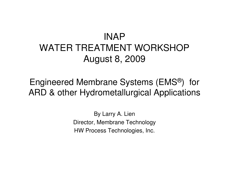### INAPWATER TREATMENT WORKSHOP August 8, 2009

#### Engineered Membrane Systems (EMS®) for ARD & other Hydrometallurgical Applications

By Larry A. Lien Director, Membrane Technology HW Process Technologies, Inc.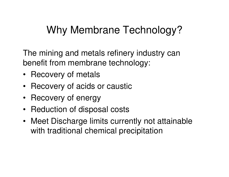# Why Membrane Technology?

The mining and metals refinery industry can benefit from membrane technology:

- Recovery of metals
- Recovery of acids or caustic
- Recovery of energy
- Reduction of disposal costs
- Meet Discharge limits currently not attainable with traditional chemical precipitation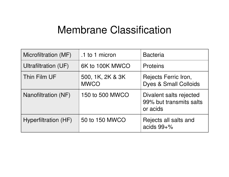### Membrane Classification

| Microfiltration (MF) | .1 to 1 micron                  | <b>Bacteria</b>                                                |
|----------------------|---------------------------------|----------------------------------------------------------------|
| Ultrafiltration (UF) | 6K to 100K MWCO                 | <b>Proteins</b>                                                |
| Thin Film UF         | 500, 1K, 2K & 3K<br><b>MWCO</b> | Rejects Ferric Iron,<br><b>Dyes &amp; Small Colloids</b>       |
| Nanofiltration (NF)  | 150 to 500 MWCO                 | Divalent salts rejected<br>99% but transmits salts<br>or acids |
| Hyperfiltration (HF) | 50 to 150 MWCO                  | Rejects all salts and<br>acids $99+%$                          |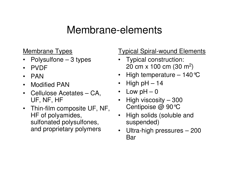#### Membrane-elements

Membrane Types

- •Polysulfone – 3 types
- •PVDF
- $\bullet$ PAN
- $\bullet$ Modified PAN
- $\bullet$  Cellulose Acetates – CA, UF, NF, HF
- Thin-film composite UF, NF, HF of polyamides, sulfonated polysulfones, and proprietary polymers

Typical Spiral-wound Elements

- Typical construction: 20 cm x 100 cm (30 m<sup>2</sup> )
- High temperature 140 °C
- High pH 14
- Low pH 0
- High viscosity 300 Centipoise @ 90°C
- High solids (soluble and suspended)
- Ultra-high pressures 200 Bar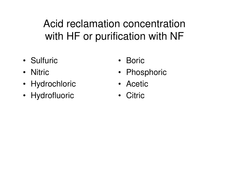Acid reclamation concentration with HF or purification with NF

- Sulfuric
- Nitric
- Hydrochloric
- Hydrofluoric
- Boric
- Phosphoric
- Acetic
- Citric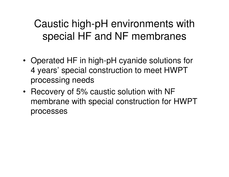# Caustic high-pH environments with special HF and NF membranes

- Operated HF in high-pH cyanide solutions for 4 years' special construction to meet HWPT processing needs
- Recovery of 5% caustic solution with NF membrane with special construction for HWPT processes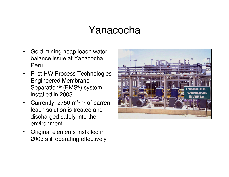## Yanacocha

- $\bullet$  Gold mining heap leach water balance issue at Yanacocha, Peru
- • First HW Process Technologies Engineered Membrane Separation® (EMS®) system installed in 2003
- Currently, 2750 m<sup>3</sup>/hr of barren leach solution is treated and discharged safely into the environment
- $\bullet$  Original elements installed in 2003 still operating effectively

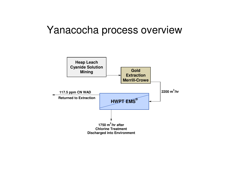### Yanacocha process overview

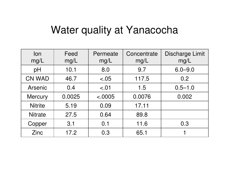## Water quality at Yanacocha

| lon<br>mg/L    | Feed<br>mg/L | Permeate<br>mg/L | Concentrate<br>mg/L | <b>Discharge Limit</b><br>mg/L |
|----------------|--------------|------------------|---------------------|--------------------------------|
| pH             | 10.1         | 8.0              | 9.7                 | $6.0 - 9.0$                    |
| <b>CN WAD</b>  | 46.7         | < .05            | 117.5               | 0.2                            |
| <b>Arsenic</b> | 0.4          | < 01             | 1.5                 | $0.5 - 1.0$                    |
| <b>Mercury</b> | 0.0025       | < 0005           | 0.0076              | 0.002                          |
| <b>Nitrite</b> | 5.19         | 0.09             | 17.11               |                                |
| <b>Nitrate</b> | 27.5         | 0.64             | 89.8                |                                |
| Copper         | 3.1          | 0.1              | 11.6                | 0.3                            |
| Zinc           | 17.2         | 0.3              | 65.1                |                                |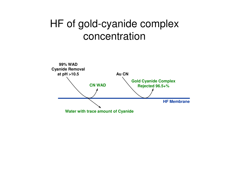## HF of gold-cyanide complex concentration

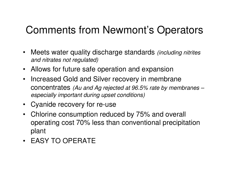## Comments from Newmont's Operators

- Meets water quality discharge standards *(including nitrites and nitrates not regulated)*
- Allows for future safe operation and expansion
- Increased Gold and Silver recovery in membrane concentrates *(Au and Ag rejected at 96.5% rate by membranes – especially important during upset conditions)*
- Cyanide recovery for re-use
- Chlorine consumption reduced by 75% and overall operating cost 70% less than conventional precipitation plant
- EASY TO OPERATE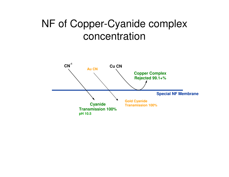## NF of Copper-Cyanide complex concentration

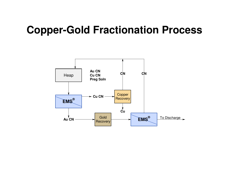## **Copper-Gold Fractionation Process**

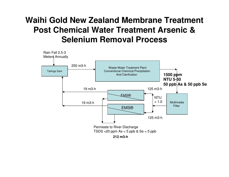#### **Waihi Gold New Zealand Membrane Treatment Post Chemical Water Treatment Arsenic & Selenium Removal Process**

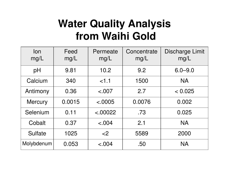# **Water Quality Analysis from Waihi Gold**

| lon<br>mg/L    | Feed<br>mg/L | Permeate<br>mg/L | Concentrate<br>mg/L | Discharge Limit<br>mg/L |
|----------------|--------------|------------------|---------------------|-------------------------|
| pH             | 9.81         | 10.2             | 9.2                 | $6.0 - 9.0$             |
| Calcium        | 340          | $<$ 11           | 1500                | <b>NA</b>               |
| Antimony       | 0.36         | < .007           | 2.7                 | < 0.025                 |
| <b>Mercury</b> | 0.0015       | < 0005           | 0.0076              | 0.002                   |
| Selenium       | 0.11         | < 0.00022        | .73                 | 0.025                   |
| Cobalt         | 0.37         | < .004           | 2.1                 | <b>NA</b>               |
| <b>Sulfate</b> | 1025         | $<$ 2            | 5589                | 2000                    |
| Molybdenum     | 0.053        | < .004           | .50                 | <b>NA</b>               |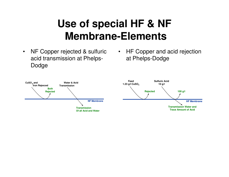# **Use of special HF & NF Membrane-Elements**

- $\bullet$ acid transmission at Phelps-Dodge
- NF Copper rejected & sulfuric HF Copper and acid rejection at Phelps-Dodge

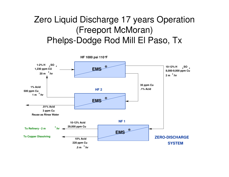#### Zero Liquid Discharge 17 years Operation (Freeport McMoran) Phelps-Dodge Rod Mill El Paso, Tx

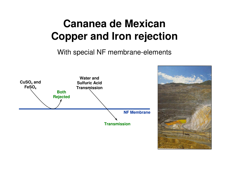# **Cananea de Mexican Copper and Iron rejection**

With special NF membrane-elements



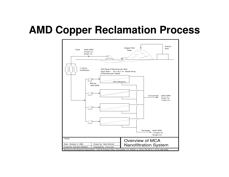## **AMD Copper Reclamation Process**

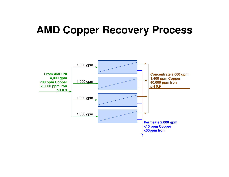## **AMD Copper Recovery Process**

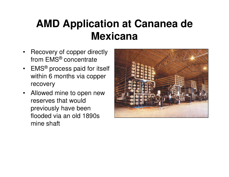# **AMD Application at Cananea de Mexicana**

- $\bullet$  Recovery of copper directly from EMS® concentrate
- $\bullet$  EMS ® process paid for itself within 6 months via copper recovery
- Allowed mine to open new reserves that would previously have been flooded via an old 1890s mine shaft

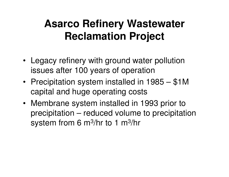# **Asarco Refinery Wastewater Reclamation Project**

- Legacy refinery with ground water pollution issues after 100 years of operation
- • Precipitation system installed in 1985 – \$1M capital and huge operating costs
- Membrane system installed in 1993 prior to precipitation – reduced volume to precipitation system from 6 m 3/hr to 1 m 3/hr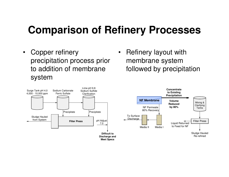## **Comparison of Refinery Processes**

- $\bullet$  Copper refinery precipitation process prior to addition of membrane system
- $\bullet$  Refinery layout with membrane system followed by precipitation

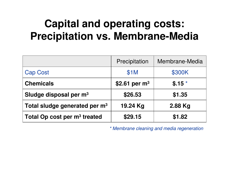# **Capital and operating costs: Precipitation vs. Membrane-Media**

|                                           | Precipitation    | Membrane-Media |
|-------------------------------------------|------------------|----------------|
| <b>Cap Cost</b>                           | \$1M             | \$300K         |
| <b>Chemicals</b>                          | \$2.61 per $m^3$ | $$.15*$        |
| Sludge disposal per m <sup>3</sup>        | \$26.53          | \$1.35         |
| Total sludge generated per m <sup>3</sup> | 19.24 Kg         | 2.88 Kg        |
| Total Op cost per m <sup>3</sup> treated  | \$29.15          | \$1.82         |

*\* Membrane cleaning and media regeneration*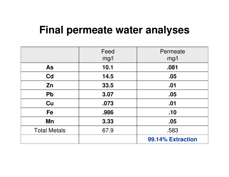## **Final permeate water analyses**

|                     | Feed | Permeate          |
|---------------------|------|-------------------|
|                     | mg/l | mg/l              |
| <b>As</b>           | 10.1 | .081              |
| Cd                  | 14.5 | .05               |
| Zn                  | 33.5 | .01               |
| Pb                  | 3.07 | .05               |
| Cu                  | .073 | .01               |
| Fe                  | .986 | .10               |
| Mn                  | 3.33 | .05               |
| <b>Total Metals</b> | 67.9 | .583              |
|                     |      | 99.14% Extraction |